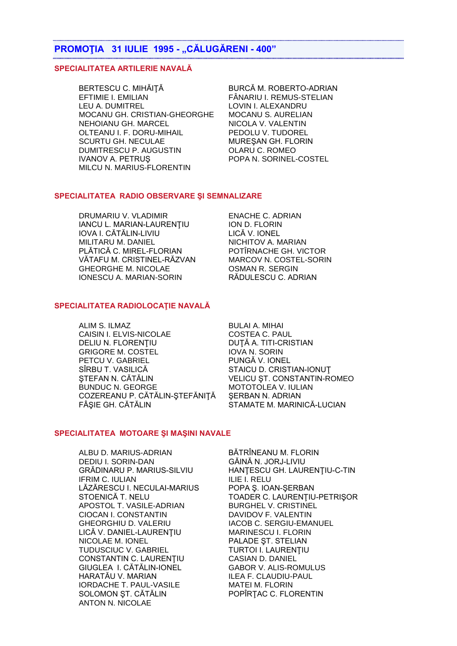## **PROMOŢIA 31 IULIE 1995 - "CĂLUGĂRENI - 400"**

#### **SPECIALITATEA ARTILERIE NAVALĂ**

BERTESCU C. MIHĂITĂ BURCĂ M. ROBERTO-ADRIAN EFTIMIE I. EMILIAN FÂNARIU I. REMUS-STELIAN LEU A. DUMITREL LOVIN I. ALEXANDRU MOCANU GH. CRISTIAN-GHEORGHE MOCANU S. AURELIAN NEHOIANU GH. MARCEL NICOLA V. VALENTIN<br>OLTEANU I. F. DORU-MIHAIL PEDOLU V. TUDOREL OLTEANU I. F. DORU-MIHAIL SCURTU GH. NECULAE MURESAN GH. FLORIN DUMITRESCU P. AUGUSTIN OLARU C. ROMEO IVANOV A. PETRUS POPA N. SORINEL-COSTEL MILCU N. MARIUS-FLORENTIN

### **SPECIALITATEA RADIO OBSERVARE ŞI SEMNALIZARE**

DRUMARIU V. VLADIMIR ENACHE C. ADRIAN IANCU L. MARIAN-LAURENŢIU ION D. FLORIN IOVA I. CĂTĂLIN-LIVIU LICĂ V. IONEL MILITARU M. DANIEL NICHITOV A. MARIAN PLĂTICĂ C. MIREL-FLORIAN VĂTAFU M. CRISTINEL-RĂZVAN MARCOV N. COSTEL-SORIN GHEORGHE M. NICOLAE **COMAN R. SERGIN** IONESCU A. MARIAN-SORIN RĂDULESCU C. ADRIAN

#### **SPECIALITATEA RADIOLOCAŢIE NAVALĂ**

ALIM S. ILMAZ BULAI A. MIHAI CAISIN I. ELVIS-NICOLAE COSTEA C. PAUL DELIU N. FLORENȚIU DUȚĂ A. TITI-CRISTIAN GRIGORE M. COSTEL IOVA N. SORIN PETCU V. GABRIEL PUNGĂ V. IONEL SÎRBU T. VASILICĂ STAICU D. CRISTIAN-IONUT ŞTEFAN N. CĂTĂLIN VELICU ŞT. CONSTANTIN-ROMEO BUNDUC N. GEORGE MOTOTOLEA V. IULIAN COZEREANU P. CĂTĂLIN-ŞTEFĂNIŢĂ ŞERBAN N. ADRIAN FÂȘIE GH. CĂTĂLIN STAMATE M. MARINICĂ-LUCIAN

### **SPECIALITATEA MOTOARE ŞI MAŞINI NAVALE**

ALBU D. MARIUS-ADRIAN BĂTRÎNEANU M. FLORIN DEDIU I. SORIN-DAN GĂINĂ N. JORJ-LIVIU IFRIM C. IULIAN ILIE I. RELU LĂZĂRESCU I. NECULAI-MARIUS POPA Ş. IOAN-ŞERBAN APOSTOL T. VASILE-ADRIAN BURGHEL V. CRISTINEL CIOCAN I. CONSTANTIN DAVIDOV F. VALENTIN GHEORGHIU D. VALERIU **IACOB C. SERGIU-EMANUEL** LICĂ V. DANIEL-LAURENŢIU MARINESCU I. FLORIN NICOLAE M. IONEL PALADE ST. STELIAN TUDUSCIUC V. GABRIEL TURTOI I. LAURENȚIU<br>CONSTANTIN C. LAURENȚIU CASIAN D. DANIEL CONSTANTIN C. LAURENTIU GIUGLEA I. CĂTĂLIN-IONEL GABOR V. ALIS-ROMULUS HARATĂU V. MARIAN ILEA F. CLAUDIU-PAUL IORDACHE T. PAUL-VASILE MATEI M. FLORIN SOLOMON ST. CĂTĂLIN POPÎRTAC C. FLORENTIN ANTON N. NICOLAE

GRĂDINARU P. MARIUS-SILVIU HANŢESCU GH. LAURENŢIU-C-TIN STOENICĂ T. NELU TOADER C. LAURENŢIU-PETRIŞOR